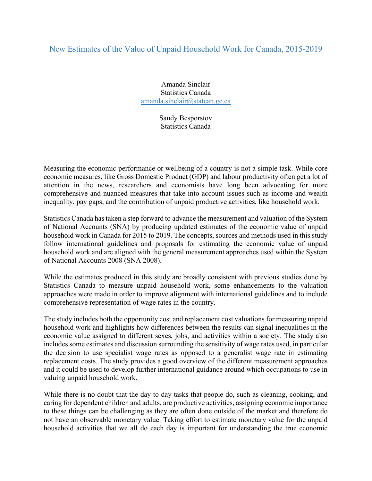## New Estimates of the Value of Unpaid Household Work for Canada, 2015-2019

Amanda Sinclair Statistics Canada amanda.sinclair@statcan.gc.ca

> Sandy Besporstov Statistics Canada

Measuring the economic performance or wellbeing of a country is not a simple task. While core economic measures, like Gross Domestic Product (GDP) and labour productivity often get a lot of attention in the news, researchers and economists have long been advocating for more comprehensive and nuanced measures that take into account issues such as income and wealth inequality, pay gaps, and the contribution of unpaid productive activities, like household work.

Statistics Canada has taken a step forward to advance the measurement and valuation of the System of National Accounts (SNA) by producing updated estimates of the economic value of unpaid household work in Canada for 2015 to 2019. The concepts, sources and methods used in this study follow international guidelines and proposals for estimating the economic value of unpaid household work and are aligned with the general measurement approaches used within the System of National Accounts 2008 (SNA 2008).

While the estimates produced in this study are broadly consistent with previous studies done by Statistics Canada to measure unpaid household work, some enhancements to the valuation approaches were made in order to improve alignment with international guidelines and to include comprehensive representation of wage rates in the country.

The study includes both the opportunity cost and replacement cost valuations for measuring unpaid household work and highlights how differences between the results can signal inequalities in the economic value assigned to different sexes, jobs, and activities within a society. The study also includes some estimates and discussion surrounding the sensitivity of wage rates used, in particular the decision to use specialist wage rates as opposed to a generalist wage rate in estimating replacement costs. The study provides a good overview of the different measurement approaches and it could be used to develop further international guidance around which occupations to use in valuing unpaid household work.

While there is no doubt that the day to day tasks that people do, such as cleaning, cooking, and caring for dependent children and adults, are productive activities, assigning economic importance to these things can be challenging as they are often done outside of the market and therefore do not have an observable monetary value. Taking effort to estimate monetary value for the unpaid household activities that we all do each day is important for understanding the true economic